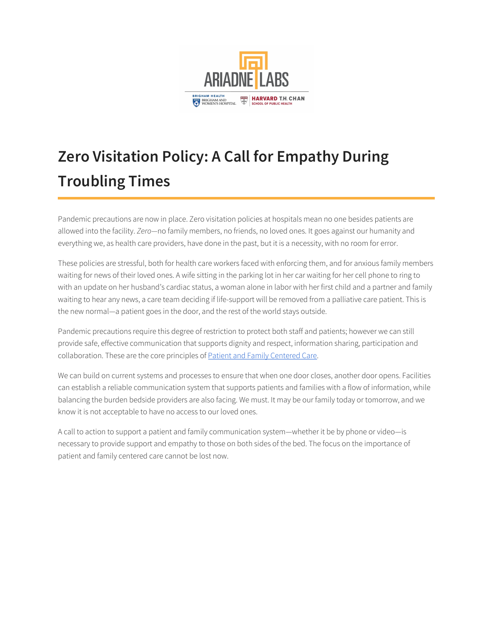

# **Zero Visitation Policy: A Call for Empathy During Troubling Times**

Pandemic precautions are now in place. Zero visitation policies at hospitals mean no one besides patients are allowed into the facility. *Zero—*no family members, no friends, no loved ones. It goes against our humanity and everything we, as health care providers, have done in the past, but it is a necessity, with no room for error.

These policies are stressful, both for health care workers faced with enforcing them, and for anxious family members waiting for news of their loved ones. A wife sitting in the parking lot in her car waiting for her cell phone to ring to with an update on her husband's cardiac status, a woman alone in labor with her first child and a partner and family waiting to hear any news, a care team deciding if life-support will be removed from a palliative care patient. This is the new normal—a patient goes in the door, and the rest of the world stays outside.

Pandemic precautions require this degree of restriction to protect both staff and patients; however we can still provide safe, effective communication that supports dignity and respect, information sharing, participation and collaboration. These are the core principles of Patient and Family [Centered](https://www.ipfcc.org/about/pfcc.html) Care.

We can build on current systems and processes to ensure that when one door closes, another door opens. Facilities can establish a reliable communication system that supports patients and families with a flow of information, while balancing the burden bedside providers are also facing. We must. It may be our family today or tomorrow, and we know it is not acceptable to have no access to our loved ones.

A call to action to support a patient and family communication system—whether it be by phone or video—is necessary to provide support and empathy to those on both sides of the bed. The focus on the importance of patient and family centered care cannot be lost now.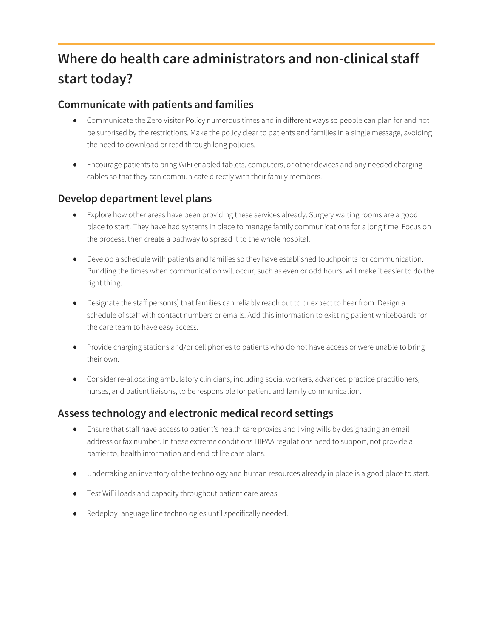## **Where do health care administrators and non-clinical staff start today?**

#### **Communicate with patients and families**

- Communicate the Zero Visitor Policy numerous times and in different ways so people can plan for and not be surprised by the restrictions. Make the policy clear to patients and families in a single message, avoiding the need to download or read through long policies.
- Encourage patients to bring WiFi enabled tablets, computers, or other devices and any needed charging cables so that they can communicate directly with their family members.

#### **Develop department level plans**

- Explore how other areas have been providing these services already. Surgery waiting rooms are a good place to start. They have had systems in place to manage family communications for a long time. Focus on the process, then create a pathway to spread it to the whole hospital.
- Develop a schedule with patients and families so they have established touchpoints for communication. Bundling the times when communication will occur, such as even or odd hours, will make it easier to do the right thing.
- Designate the staff person(s) that families can reliably reach out to or expect to hear from. Design a schedule of staff with contact numbers or emails. Add this information to existing patient whiteboards for the care team to have easy access.
- Provide charging stations and/or cell phones to patients who do not have access or were unable to bring their own.
- Consider re-allocating ambulatory clinicians, including social workers, advanced practice practitioners, nurses, and patient liaisons, to be responsible for patient and family communication.

#### **Assess technology and electronic medical record settings**

- Ensure that staff have access to patient's health care proxies and living wills by designating an email address or fax number. In these extreme conditions HIPAA regulations need to support, not provide a barrier to, health information and end of life care plans.
- Undertaking an inventory of the technology and human resources already in place is a good place to start.
- Test WiFi loads and capacity throughout patient care areas.
- Redeploy language line technologies until specifically needed.